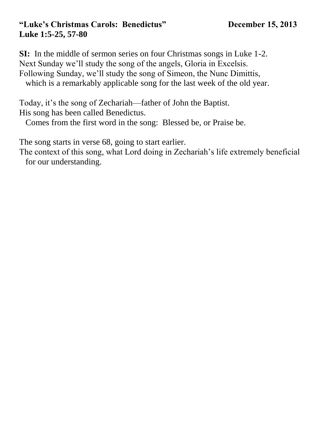#### **"Luke's Christmas Carols: Benedictus" December 15, 2013 Luke 1:5-25, 57-80**

**SI:** In the middle of sermon series on four Christmas songs in Luke 1-2. Next Sunday we'll study the song of the angels, Gloria in Excelsis. Following Sunday, we'll study the song of Simeon, the Nunc Dimittis, which is a remarkably applicable song for the last week of the old year.

Today, it's the song of Zechariah—father of John the Baptist. His song has been called Benedictus.

Comes from the first word in the song: Blessed be, or Praise be.

The song starts in verse 68, going to start earlier.

The context of this song, what Lord doing in Zechariah's life extremely beneficial for our understanding.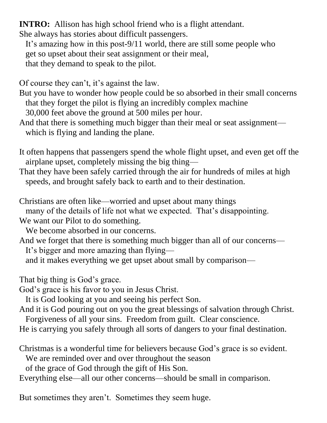**INTRO:** Allison has high school friend who is a flight attendant.

She always has stories about difficult passengers.

 It's amazing how in this post-9/11 world, there are still some people who get so upset about their seat assignment or their meal, that they demand to speak to the pilot.

Of course they can't, it's against the law.

But you have to wonder how people could be so absorbed in their small concerns that they forget the pilot is flying an incredibly complex machine 30,000 feet above the ground at 500 miles per hour.

And that there is something much bigger than their meal or seat assignment which is flying and landing the plane.

It often happens that passengers spend the whole flight upset, and even get off the airplane upset, completely missing the big thing—

That they have been safely carried through the air for hundreds of miles at high speeds, and brought safely back to earth and to their destination.

Christians are often like—worried and upset about many things many of the details of life not what we expected. That's disappointing. We want our Pilot to do something.

We become absorbed in our concerns.

And we forget that there is something much bigger than all of our concerns— It's bigger and more amazing than flying and it makes everything we get upset about small by comparison—

That big thing is God's grace.

God's grace is his favor to you in Jesus Christ.

It is God looking at you and seeing his perfect Son.

And it is God pouring out on you the great blessings of salvation through Christ. Forgiveness of all your sins. Freedom from guilt. Clear conscience.

He is carrying you safely through all sorts of dangers to your final destination.

Christmas is a wonderful time for believers because God's grace is so evident.

We are reminded over and over throughout the season

of the grace of God through the gift of His Son.

Everything else—all our other concerns—should be small in comparison.

But sometimes they aren't. Sometimes they seem huge.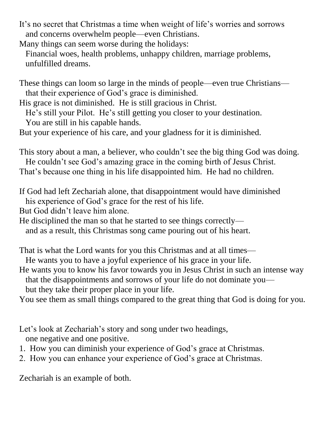It's no secret that Christmas a time when weight of life's worries and sorrows and concerns overwhelm people—even Christians.

Many things can seem worse during the holidays:

 Financial woes, health problems, unhappy children, marriage problems, unfulfilled dreams.

These things can loom so large in the minds of people—even true Christians that their experience of God's grace is diminished.

His grace is not diminished. He is still gracious in Christ.

 He's still your Pilot. He's still getting you closer to your destination. You are still in his capable hands.

But your experience of his care, and your gladness for it is diminished.

This story about a man, a believer, who couldn't see the big thing God was doing.

He couldn't see God's amazing grace in the coming birth of Jesus Christ.

That's because one thing in his life disappointed him. He had no children.

If God had left Zechariah alone, that disappointment would have diminished his experience of God's grace for the rest of his life.

But God didn't leave him alone.

He disciplined the man so that he started to see things correctly—

and as a result, this Christmas song came pouring out of his heart.

That is what the Lord wants for you this Christmas and at all times—

He wants you to have a joyful experience of his grace in your life.

He wants you to know his favor towards you in Jesus Christ in such an intense way that the disappointments and sorrows of your life do not dominate you—

but they take their proper place in your life.

You see them as small things compared to the great thing that God is doing for you.

Let's look at Zechariah's story and song under two headings, one negative and one positive.

1. How you can diminish your experience of God's grace at Christmas.

2. How you can enhance your experience of God's grace at Christmas.

Zechariah is an example of both.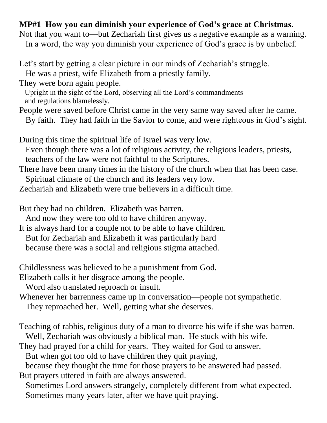## **MP#1 How you can diminish your experience of God's grace at Christmas.**

Not that you want to—but Zechariah first gives us a negative example as a warning. In a word, the way you diminish your experience of God's grace is by unbelief.

Let's start by getting a clear picture in our minds of Zechariah's struggle. He was a priest, wife Elizabeth from a priestly family.

They were born again people.

 Upright in the sight of the Lord, observing all the Lord's commandments and regulations blamelessly.

People were saved before Christ came in the very same way saved after he came. By faith. They had faith in the Savior to come, and were righteous in God's sight.

During this time the spiritual life of Israel was very low.

 Even though there was a lot of religious activity, the religious leaders, priests, teachers of the law were not faithful to the Scriptures.

There have been many times in the history of the church when that has been case.

Spiritual climate of the church and its leaders very low.

Zechariah and Elizabeth were true believers in a difficult time.

But they had no children. Elizabeth was barren.

And now they were too old to have children anyway.

It is always hard for a couple not to be able to have children. But for Zechariah and Elizabeth it was particularly hard because there was a social and religious stigma attached.

Childlessness was believed to be a punishment from God.

Elizabeth calls it her disgrace among the people.

Word also translated reproach or insult.

Whenever her barrenness came up in conversation—people not sympathetic.

They reproached her. Well, getting what she deserves.

Teaching of rabbis, religious duty of a man to divorce his wife if she was barren. Well, Zechariah was obviously a biblical man. He stuck with his wife.

They had prayed for a child for years. They waited for God to answer.

But when got too old to have children they quit praying,

 because they thought the time for those prayers to be answered had passed. But prayers uttered in faith are always answered.

 Sometimes Lord answers strangely, completely different from what expected. Sometimes many years later, after we have quit praying.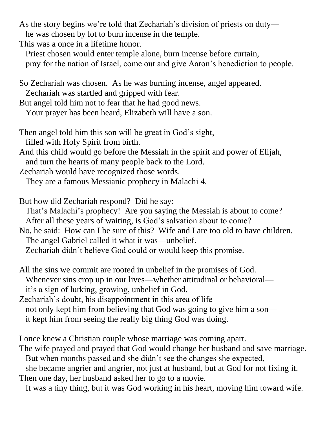As the story begins we're told that Zechariah's division of priests on duty he was chosen by lot to burn incense in the temple.

This was a once in a lifetime honor.

 Priest chosen would enter temple alone, burn incense before curtain, pray for the nation of Israel, come out and give Aaron's benediction to people.

So Zechariah was chosen. As he was burning incense, angel appeared. Zechariah was startled and gripped with fear.

But angel told him not to fear that he had good news. Your prayer has been heard, Elizabeth will have a son.

- Then angel told him this son will be great in God's sight, filled with Holy Spirit from birth.
- And this child would go before the Messiah in the spirit and power of Elijah, and turn the hearts of many people back to the Lord.
- Zechariah would have recognized those words.

They are a famous Messianic prophecy in Malachi 4.

- But how did Zechariah respond? Did he say: That's Malachi's prophecy! Are you saying the Messiah is about to come? After all these years of waiting, is God's salvation about to come?
- No, he said: How can I be sure of this? Wife and I are too old to have children. The angel Gabriel called it what it was—unbelief. Zechariah didn't believe God could or would keep this promise.
- All the sins we commit are rooted in unbelief in the promises of God. Whenever sins crop up in our lives—whether attitudinal or behavioral it's a sign of lurking, growing, unbelief in God.

Zechariah's doubt, his disappointment in this area of life not only kept him from believing that God was going to give him a son it kept him from seeing the really big thing God was doing.

I once knew a Christian couple whose marriage was coming apart.

The wife prayed and prayed that God would change her husband and save marriage. But when months passed and she didn't see the changes she expected,

 she became angrier and angrier, not just at husband, but at God for not fixing it. Then one day, her husband asked her to go to a movie.

It was a tiny thing, but it was God working in his heart, moving him toward wife.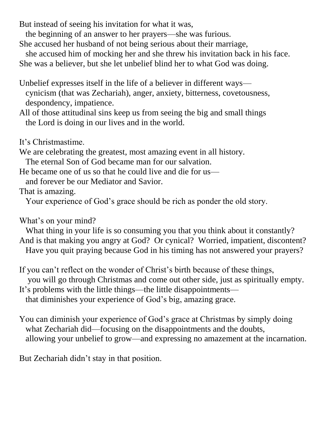But instead of seeing his invitation for what it was,

the beginning of an answer to her prayers—she was furious.

She accused her husband of not being serious about their marriage,

 she accused him of mocking her and she threw his invitation back in his face. She was a believer, but she let unbelief blind her to what God was doing.

Unbelief expresses itself in the life of a believer in different ways cynicism (that was Zechariah), anger, anxiety, bitterness, covetousness, despondency, impatience.

All of those attitudinal sins keep us from seeing the big and small things the Lord is doing in our lives and in the world.

It's Christmastime.

We are celebrating the greatest, most amazing event in all history.

The eternal Son of God became man for our salvation.

He became one of us so that he could live and die for us—

and forever be our Mediator and Savior.

That is amazing.

Your experience of God's grace should be rich as ponder the old story.

What's on your mind?

 What thing in your life is so consuming you that you think about it constantly? And is that making you angry at God? Or cynical? Worried, impatient, discontent? Have you quit praying because God in his timing has not answered your prayers?

If you can't reflect on the wonder of Christ's birth because of these things, you will go through Christmas and come out other side, just as spiritually empty. It's problems with the little things—the little disappointments—

that diminishes your experience of God's big, amazing grace.

You can diminish your experience of God's grace at Christmas by simply doing what Zechariah did—focusing on the disappointments and the doubts, allowing your unbelief to grow—and expressing no amazement at the incarnation.

But Zechariah didn't stay in that position.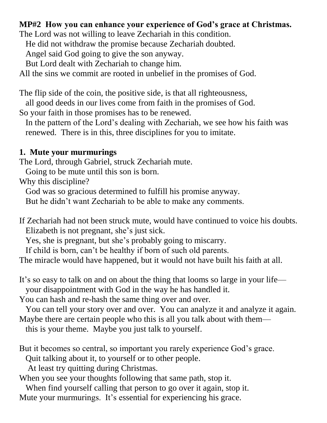## **MP#2 How you can enhance your experience of God's grace at Christmas.**

The Lord was not willing to leave Zechariah in this condition.

He did not withdraw the promise because Zechariah doubted.

Angel said God going to give the son anyway.

But Lord dealt with Zechariah to change him.

All the sins we commit are rooted in unbelief in the promises of God.

The flip side of the coin, the positive side, is that all righteousness,

all good deeds in our lives come from faith in the promises of God.

So your faith in those promises has to be renewed.

 In the pattern of the Lord's dealing with Zechariah, we see how his faith was renewed. There is in this, three disciplines for you to imitate.

#### **1. Mute your murmurings**

The Lord, through Gabriel, struck Zechariah mute.

Going to be mute until this son is born.

Why this discipline?

God was so gracious determined to fulfill his promise anyway.

But he didn't want Zechariah to be able to make any comments.

If Zechariah had not been struck mute, would have continued to voice his doubts. Elizabeth is not pregnant, she's just sick.

Yes, she is pregnant, but she's probably going to miscarry.

If child is born, can't be healthy if born of such old parents.

The miracle would have happened, but it would not have built his faith at all.

It's so easy to talk on and on about the thing that looms so large in your life your disappointment with God in the way he has handled it.

You can hash and re-hash the same thing over and over.

 You can tell your story over and over. You can analyze it and analyze it again. Maybe there are certain people who this is all you talk about with them—

this is your theme. Maybe you just talk to yourself.

But it becomes so central, so important you rarely experience God's grace.

Quit talking about it, to yourself or to other people.

At least try quitting during Christmas.

When you see your thoughts following that same path, stop it.

When find yourself calling that person to go over it again, stop it.

Mute your murmurings. It's essential for experiencing his grace.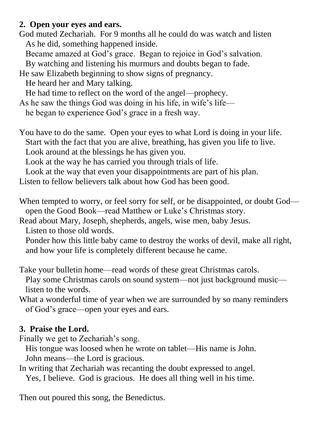# **2. Open your eyes and ears.**

God muted Zechariah. For 9 months all he could do was watch and listen As he did, something happened inside.

Became amazed at God's grace. Began to rejoice in God's salvation.

By watching and listening his murmurs and doubts began to fade.

He saw Elizabeth beginning to show signs of pregnancy.

He heard her and Mary talking.

He had time to reflect on the word of the angel—prophecy.

As he saw the things God was doing in his life, in wife's life—

he began to experience God's grace in a fresh way.

You have to do the same. Open your eyes to what Lord is doing in your life. Start with the fact that you are alive, breathing, has given you life to live.

Look around at the blessings he has given you.

Look at the way he has carried you through trials of life.

Look at the way that even your disappointments are part of his plan.

Listen to fellow believers talk about how God has been good.

When tempted to worry, or feel sorry for self, or be disappointed, or doubt God open the Good Book—read Matthew or Luke's Christmas story.

Read about Mary, Joseph, shepherds, angels, wise men, baby Jesus.

Listen to those old words.

 Ponder how this little baby came to destroy the works of devil, make all right, and how your life is completely different because he came.

Take your bulletin home—read words of these great Christmas carols.

 Play some Christmas carols on sound system—not just background music listen to the words.

What a wonderful time of year when we are surrounded by so many reminders of God's grace—open your eyes and ears.

## **3. Praise the Lord.**

Finally we get to Zechariah's song.

 His tongue was loosed when he wrote on tablet—His name is John. John means—the Lord is gracious.

In writing that Zechariah was recanting the doubt expressed to angel. Yes, I believe. God is gracious. He does all thing well in his time.

Then out poured this song, the Benedictus.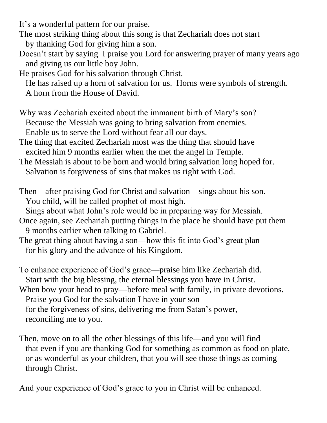It's a wonderful pattern for our praise.

The most striking thing about this song is that Zechariah does not start by thanking God for giving him a son.

Doesn't start by saying I praise you Lord for answering prayer of many years ago and giving us our little boy John.

He praises God for his salvation through Christ.

 He has raised up a horn of salvation for us. Horns were symbols of strength. A horn from the House of David.

Why was Zechariah excited about the immanent birth of Mary's son? Because the Messiah was going to bring salvation from enemies. Enable us to serve the Lord without fear all our days.

The thing that excited Zechariah most was the thing that should have excited him 9 months earlier when the met the angel in Temple.

The Messiah is about to be born and would bring salvation long hoped for. Salvation is forgiveness of sins that makes us right with God.

Then—after praising God for Christ and salvation—sings about his son. You child, will be called prophet of most high.

Sings about what John's role would be in preparing way for Messiah.

- Once again, see Zechariah putting things in the place he should have put them 9 months earlier when talking to Gabriel.
- The great thing about having a son—how this fit into God's great plan for his glory and the advance of his Kingdom.

To enhance experience of God's grace—praise him like Zechariah did. Start with the big blessing, the eternal blessings you have in Christ. When bow your head to pray—before meal with family, in private devotions. Praise you God for the salvation I have in your son—

 for the forgiveness of sins, delivering me from Satan's power, reconciling me to you.

Then, move on to all the other blessings of this life—and you will find that even if you are thanking God for something as common as food on plate, or as wonderful as your children, that you will see those things as coming through Christ.

And your experience of God's grace to you in Christ will be enhanced.